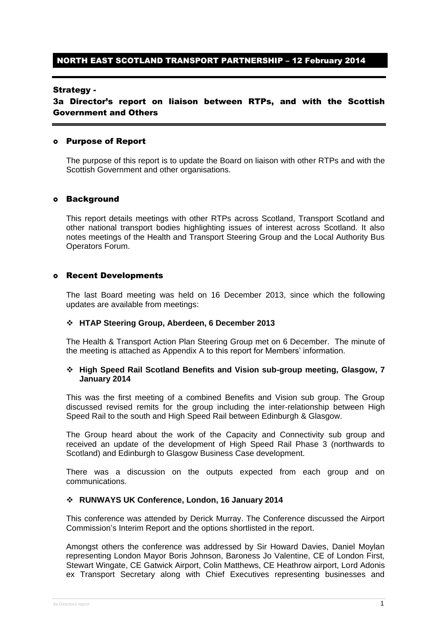### NORTH EAST SCOTLAND TRANSPORT PARTNERSHIP – 12 February 2014

#### Strategy -

3a Director's report on liaison between RTPs, and with the Scottish Government and Others

#### Purpose of Report

The purpose of this report is to update the Board on liaison with other RTPs and with the Scottish Government and other organisations.

#### Background

This report details meetings with other RTPs across Scotland, Transport Scotland and other national transport bodies highlighting issues of interest across Scotland. It also notes meetings of the Health and Transport Steering Group and the Local Authority Bus Operators Forum.

#### Recent Developments

The last Board meeting was held on 16 December 2013, since which the following updates are available from meetings:

#### **HTAP Steering Group, Aberdeen, 6 December 2013**

The Health & Transport Action Plan Steering Group met on 6 December. The minute of the meeting is attached as Appendix A to this report for Members' information.

#### **High Speed Rail Scotland Benefits and Vision sub-group meeting, Glasgow, 7 January 2014**

This was the first meeting of a combined Benefits and Vision sub group. The Group discussed revised remits for the group including the inter-relationship between High Speed Rail to the south and High Speed Rail between Edinburgh & Glasgow.

The Group heard about the work of the Capacity and Connectivity sub group and received an update of the development of High Speed Rail Phase 3 (northwards to Scotland) and Edinburgh to Glasgow Business Case development.

There was a discussion on the outputs expected from each group and on communications.

#### **RUNWAYS UK Conference, London, 16 January 2014**

This conference was attended by Derick Murray. The Conference discussed the Airport Commission's Interim Report and the options shortlisted in the report.

Amongst others the conference was addressed by Sir Howard Davies, Daniel Moylan representing London Mayor Boris Johnson, Baroness Jo Valentine, CE of London First, Stewart Wingate, CE Gatwick Airport, Colin Matthews, CE Heathrow airport, Lord Adonis ex Transport Secretary along with Chief Executives representing businesses and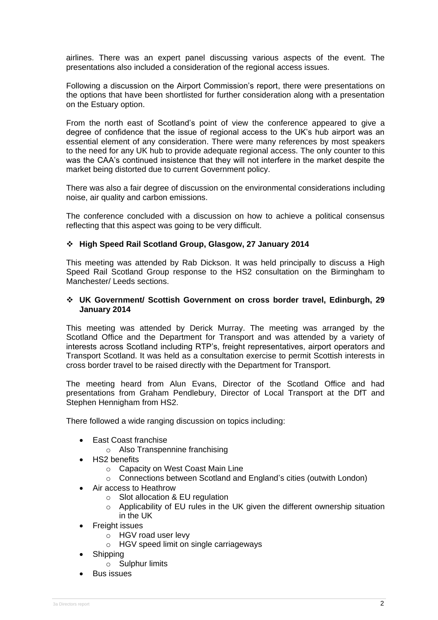airlines. There was an expert panel discussing various aspects of the event. The presentations also included a consideration of the regional access issues.

Following a discussion on the Airport Commission's report, there were presentations on the options that have been shortlisted for further consideration along with a presentation on the Estuary option.

From the north east of Scotland's point of view the conference appeared to give a degree of confidence that the issue of regional access to the UK's hub airport was an essential element of any consideration. There were many references by most speakers to the need for any UK hub to provide adequate regional access. The only counter to this was the CAA's continued insistence that they will not interfere in the market despite the market being distorted due to current Government policy.

There was also a fair degree of discussion on the environmental considerations including noise, air quality and carbon emissions.

The conference concluded with a discussion on how to achieve a political consensus reflecting that this aspect was going to be very difficult.

#### **High Speed Rail Scotland Group, Glasgow, 27 January 2014**

This meeting was attended by Rab Dickson. It was held principally to discuss a High Speed Rail Scotland Group response to the HS2 consultation on the Birmingham to Manchester/ Leeds sections.

#### **UK Government/ Scottish Government on cross border travel, Edinburgh, 29 January 2014**

This meeting was attended by Derick Murray. The meeting was arranged by the Scotland Office and the Department for Transport and was attended by a variety of interests across Scotland including RTP's, freight representatives, airport operators and Transport Scotland. It was held as a consultation exercise to permit Scottish interests in cross border travel to be raised directly with the Department for Transport.

The meeting heard from Alun Evans, Director of the Scotland Office and had presentations from Graham Pendlebury, Director of Local Transport at the DfT and Stephen Hennigham from HS2.

There followed a wide ranging discussion on topics including:

- East Coast franchise
	- o Also Transpennine franchising
- HS2 benefits
	- o Capacity on West Coast Main Line
	- o Connections between Scotland and England's cities (outwith London)
- Air access to Heathrow
	- o Slot allocation & EU regulation
	- $\circ$  Applicability of EU rules in the UK given the different ownership situation in the UK
- **Freight issues** 
	- o HGV road user levy
	- o HGV speed limit on single carriageways
- Shipping
	- o Sulphur limits
- Bus issues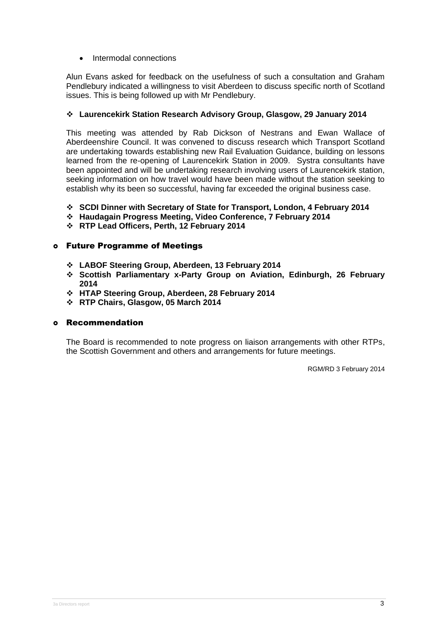Intermodal connections

Alun Evans asked for feedback on the usefulness of such a consultation and Graham Pendlebury indicated a willingness to visit Aberdeen to discuss specific north of Scotland issues. This is being followed up with Mr Pendlebury.

#### **Laurencekirk Station Research Advisory Group, Glasgow, 29 January 2014**

This meeting was attended by Rab Dickson of Nestrans and Ewan Wallace of Aberdeenshire Council. It was convened to discuss research which Transport Scotland are undertaking towards establishing new Rail Evaluation Guidance, building on lessons learned from the re-opening of Laurencekirk Station in 2009. Systra consultants have been appointed and will be undertaking research involving users of Laurencekirk station, seeking information on how travel would have been made without the station seeking to establish why its been so successful, having far exceeded the original business case.

- **SCDI Dinner with Secretary of State for Transport, London, 4 February 2014**
- **Haudagain Progress Meeting, Video Conference, 7 February 2014**
- **RTP Lead Officers, Perth, 12 February 2014**

#### Future Programme of Meetings

- **LABOF Steering Group, Aberdeen, 13 February 2014**
- **Scottish Parliamentary x-Party Group on Aviation, Edinburgh, 26 February 2014**
- **HTAP Steering Group, Aberdeen, 28 February 2014**
- **RTP Chairs, Glasgow, 05 March 2014**

#### Recommendation

The Board is recommended to note progress on liaison arrangements with other RTPs, the Scottish Government and others and arrangements for future meetings.

RGM/RD 3 February 2014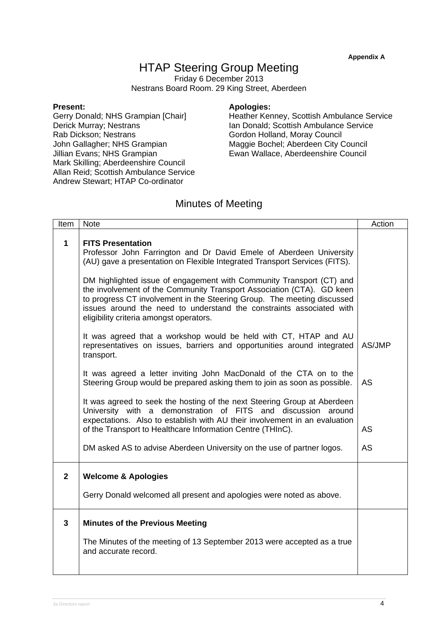**Appendix A**

# HTAP Steering Group Meeting

Friday 6 December 2013

Nestrans Board Room. 29 King Street, Aberdeen

#### **Present:**

Gerry Donald; NHS Grampian [Chair] Derick Murray; Nestrans Rab Dickson; Nestrans John Gallagher; NHS Grampian Jillian Evans; NHS Grampian Mark Skilling; Aberdeenshire Council Allan Reid; Scottish Ambulance Service Andrew Stewart; HTAP Co-ordinator

#### **Apologies:**

Heather Kenney, Scottish Ambulance Service Ian Donald; Scottish Ambulance Service Gordon Holland, Moray Council Maggie Bochel; Aberdeen City Council Ewan Wallace, Aberdeenshire Council

## Minutes of Meeting

| Item           | <b>Note</b>                                                                                                                                                                                                                                                                                                                                                                                                                                                                       | Action    |
|----------------|-----------------------------------------------------------------------------------------------------------------------------------------------------------------------------------------------------------------------------------------------------------------------------------------------------------------------------------------------------------------------------------------------------------------------------------------------------------------------------------|-----------|
| $\mathbf 1$    | <b>FITS Presentation</b><br>Professor John Farrington and Dr David Emele of Aberdeen University<br>(AU) gave a presentation on Flexible Integrated Transport Services (FITS).<br>DM highlighted issue of engagement with Community Transport (CT) and<br>the involvement of the Community Transport Association (CTA). GD keen<br>to progress CT involvement in the Steering Group. The meeting discussed<br>issues around the need to understand the constraints associated with |           |
|                | eligibility criteria amongst operators.<br>It was agreed that a workshop would be held with CT, HTAP and AU<br>representatives on issues, barriers and opportunities around integrated<br>transport.                                                                                                                                                                                                                                                                              | AS/JMP    |
|                | It was agreed a letter inviting John MacDonald of the CTA on to the<br>Steering Group would be prepared asking them to join as soon as possible.                                                                                                                                                                                                                                                                                                                                  | <b>AS</b> |
|                | It was agreed to seek the hosting of the next Steering Group at Aberdeen<br>University with a demonstration of FITS<br>and discussion around<br>expectations. Also to establish with AU their involvement in an evaluation<br>of the Transport to Healthcare Information Centre (THInC).                                                                                                                                                                                          | <b>AS</b> |
|                | DM asked AS to advise Aberdeen University on the use of partner logos.                                                                                                                                                                                                                                                                                                                                                                                                            | AS        |
| $\overline{2}$ | <b>Welcome &amp; Apologies</b><br>Gerry Donald welcomed all present and apologies were noted as above.                                                                                                                                                                                                                                                                                                                                                                            |           |
| $\mathbf{3}$   | <b>Minutes of the Previous Meeting</b>                                                                                                                                                                                                                                                                                                                                                                                                                                            |           |
|                | The Minutes of the meeting of 13 September 2013 were accepted as a true<br>and accurate record.                                                                                                                                                                                                                                                                                                                                                                                   |           |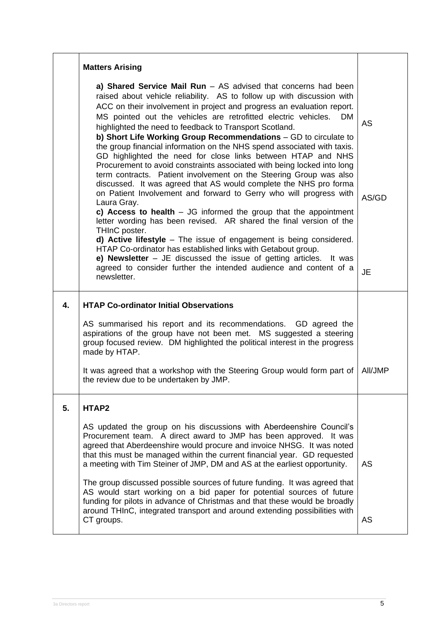|    | <b>Matters Arising</b>                                                                                                                                                                                                                                                                                                                                                                                                                                                                                                                                                                                                                                                                                                                                                                                                                                                                                                                                                                                                                                                                                                                                                                                                                                                                                                                                |                                 |
|----|-------------------------------------------------------------------------------------------------------------------------------------------------------------------------------------------------------------------------------------------------------------------------------------------------------------------------------------------------------------------------------------------------------------------------------------------------------------------------------------------------------------------------------------------------------------------------------------------------------------------------------------------------------------------------------------------------------------------------------------------------------------------------------------------------------------------------------------------------------------------------------------------------------------------------------------------------------------------------------------------------------------------------------------------------------------------------------------------------------------------------------------------------------------------------------------------------------------------------------------------------------------------------------------------------------------------------------------------------------|---------------------------------|
|    | a) Shared Service Mail Run - AS advised that concerns had been<br>raised about vehicle reliability. AS to follow up with discussion with<br>ACC on their involvement in project and progress an evaluation report.<br>MS pointed out the vehicles are retrofitted electric vehicles.<br>DM.<br>highlighted the need to feedback to Transport Scotland.<br>b) Short Life Working Group Recommendations - GD to circulate to<br>the group financial information on the NHS spend associated with taxis.<br>GD highlighted the need for close links between HTAP and NHS<br>Procurement to avoid constraints associated with being locked into long<br>term contracts. Patient involvement on the Steering Group was also<br>discussed. It was agreed that AS would complete the NHS pro forma<br>on Patient Involvement and forward to Gerry who will progress with<br>Laura Gray.<br>c) Access to health $-$ JG informed the group that the appointment<br>letter wording has been revised. AR shared the final version of the<br>THInC poster.<br>d) Active lifestyle $-$ The issue of engagement is being considered.<br>HTAP Co-ordinator has established links with Getabout group.<br>e) Newsletter $-$ JE discussed the issue of getting articles.<br>It was<br>agreed to consider further the intended audience and content of a<br>newsletter. | <b>AS</b><br>AS/GD<br><b>JE</b> |
| 4. | <b>HTAP Co-ordinator Initial Observations</b>                                                                                                                                                                                                                                                                                                                                                                                                                                                                                                                                                                                                                                                                                                                                                                                                                                                                                                                                                                                                                                                                                                                                                                                                                                                                                                         |                                 |
|    | AS summarised his report and its recommendations. GD agreed the<br>aspirations of the group have not been met. MS suggested a steering<br>group focused review. DM highlighted the political interest in the progress<br>made by HTAP.<br>It was agreed that a workshop with the Steering Group would form part of<br>the review due to be undertaken by JMP.                                                                                                                                                                                                                                                                                                                                                                                                                                                                                                                                                                                                                                                                                                                                                                                                                                                                                                                                                                                         | All/JMP                         |
|    |                                                                                                                                                                                                                                                                                                                                                                                                                                                                                                                                                                                                                                                                                                                                                                                                                                                                                                                                                                                                                                                                                                                                                                                                                                                                                                                                                       |                                 |
| 5. | HTAP2<br>AS updated the group on his discussions with Aberdeenshire Council's<br>Procurement team. A direct award to JMP has been approved. It was<br>agreed that Aberdeenshire would procure and invoice NHSG. It was noted<br>that this must be managed within the current financial year. GD requested<br>a meeting with Tim Steiner of JMP, DM and AS at the earliest opportunity.<br>The group discussed possible sources of future funding. It was agreed that<br>AS would start working on a bid paper for potential sources of future<br>funding for pilots in advance of Christmas and that these would be broadly<br>around THInC, integrated transport and around extending possibilities with<br>CT groups.                                                                                                                                                                                                                                                                                                                                                                                                                                                                                                                                                                                                                               | AS<br>AS                        |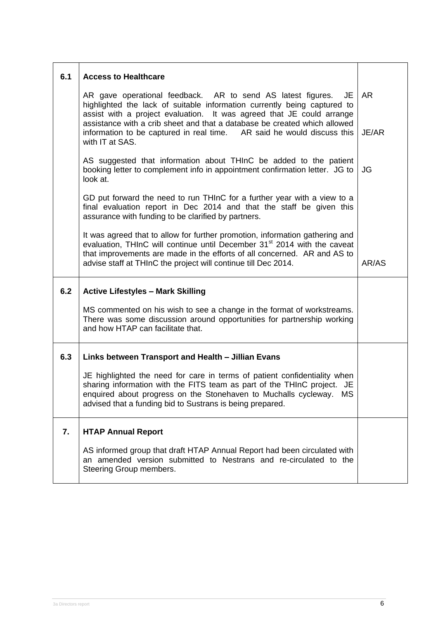| 6.1 | <b>Access to Healthcare</b>                                                                                                                                                                                                                                                                                                                                                |                    |
|-----|----------------------------------------------------------------------------------------------------------------------------------------------------------------------------------------------------------------------------------------------------------------------------------------------------------------------------------------------------------------------------|--------------------|
|     | AR gave operational feedback. AR to send AS latest figures. JE<br>highlighted the lack of suitable information currently being captured to<br>assist with a project evaluation. It was agreed that JE could arrange<br>assistance with a crib sheet and that a database be created which allowed<br>information to be captured in real time. AR said he would discuss this | <b>AR</b><br>JE/AR |
|     | with IT at SAS.                                                                                                                                                                                                                                                                                                                                                            |                    |
|     | AS suggested that information about THInC be added to the patient<br>booking letter to complement info in appointment confirmation letter. JG to<br>look at.                                                                                                                                                                                                               | JG                 |
|     | GD put forward the need to run THInC for a further year with a view to a<br>final evaluation report in Dec 2014 and that the staff be given this<br>assurance with funding to be clarified by partners.                                                                                                                                                                    |                    |
|     | It was agreed that to allow for further promotion, information gathering and<br>evaluation, THInC will continue until December 31 <sup>st</sup> 2014 with the caveat<br>that improvements are made in the efforts of all concerned. AR and AS to<br>advise staff at THInC the project will continue till Dec 2014.                                                         | AR/AS              |
| 6.2 | <b>Active Lifestyles - Mark Skilling</b>                                                                                                                                                                                                                                                                                                                                   |                    |
|     | MS commented on his wish to see a change in the format of workstreams.<br>There was some discussion around opportunities for partnership working<br>and how HTAP can facilitate that.                                                                                                                                                                                      |                    |
| 6.3 | Links between Transport and Health - Jillian Evans                                                                                                                                                                                                                                                                                                                         |                    |
|     | JE highlighted the need for care in terms of patient confidentiality when<br>sharing information with the FITS team as part of the THInC project. JE<br>enquired about progress on the Stonehaven to Muchalls cycleway. MS<br>advised that a funding bid to Sustrans is being prepared.                                                                                    |                    |
| 7.  | <b>HTAP Annual Report</b>                                                                                                                                                                                                                                                                                                                                                  |                    |
|     | AS informed group that draft HTAP Annual Report had been circulated with<br>an amended version submitted to Nestrans and re-circulated to the<br>Steering Group members.                                                                                                                                                                                                   |                    |